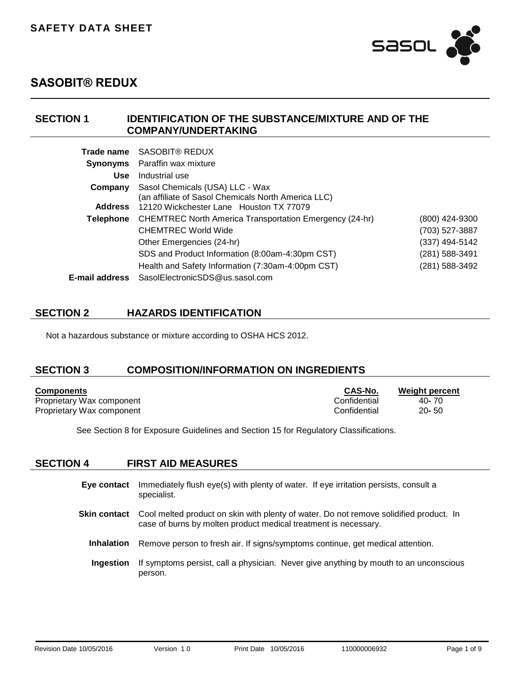

### **SECTION 1 IDENTIFICATION OF THE SUBSTANCE/MIXTURE AND OF THE COMPANY/UNDERTAKING**

| Trade name       | SASOBIT® REDUX                                                                         |                |
|------------------|----------------------------------------------------------------------------------------|----------------|
| <b>Synonyms</b>  | Paraffin wax mixture                                                                   |                |
| <b>Use</b>       | Industrial use                                                                         |                |
| Company          | Sasol Chemicals (USA) LLC - Wax<br>(an affiliate of Sasol Chemicals North America LLC) |                |
| <b>Address</b>   | 12120 Wickchester Lane Houston TX 77079                                                |                |
| <b>Telephone</b> | <b>CHEMTREC North America Transportation Emergency (24-hr)</b>                         | (800) 424-9300 |
|                  | <b>CHEMTREC World Wide</b>                                                             | (703) 527-3887 |
|                  | Other Emergencies (24-hr)                                                              | (337) 494-5142 |
|                  | SDS and Product Information (8:00am-4:30pm CST)                                        | (281) 588-3491 |
|                  | Health and Safety Information (7:30am-4:00pm CST)                                      | (281) 588-3492 |
| E-mail address   | SasolElectronicSDS@us.sasol.com                                                        |                |

## **SECTION 2 HAZARDS IDENTIFICATION**

Not a hazardous substance or mixture according to OSHA HCS 2012.

## **SECTION 3 COMPOSITION/INFORMATION ON INGREDIENTS**

| <b>Components</b>         | <b>CAS-No.</b> | Weight percent |
|---------------------------|----------------|----------------|
| Proprietary Wax component | Confidential   | 40- 70         |
| Proprietary Wax component | Confidential   | $20 - 50$      |

See Section 8 for Exposure Guidelines and Section 15 for Regulatory Classifications.

## **SECTION 4 FIRST AID MEASURES**

- **Eye contact** Immediately flush eye(s) with plenty of water. If eye irritation persists, consult a specialist. **Skin contact** Cool melted product on skin with plenty of water. Do not remove solidified product. In case of burns by molten product medical treatment is necessary.
	- **Inhalation** Remove person to fresh air. If signs/symptoms continue, get medical attention.
	- **Ingestion** If symptoms persist, call a physician. Never give anything by mouth to an unconscious person.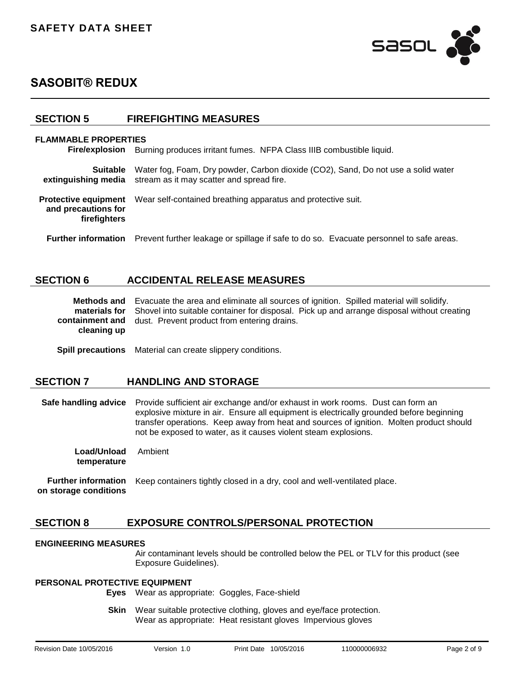

### **SECTION 5 FIREFIGHTING MEASURES**

#### **FLAMMABLE PROPERTIES**

**Fire/explosion** Burning produces irritant fumes. NFPA Class IIIB combustible liquid.

| <b>Suitable</b>                                                    | Water fog, Foam, Dry powder, Carbon dioxide (CO2), Sand, Do not use a solid water<br>extinguishing media stream as it may scatter and spread fire. |  |
|--------------------------------------------------------------------|----------------------------------------------------------------------------------------------------------------------------------------------------|--|
| <b>Protective equipment</b><br>and precautions for<br>firefighters | Wear self-contained breathing apparatus and protective suit.                                                                                       |  |
| <b>Further information</b>                                         | Prevent further leakage or spillage if safe to do so. Evacuate personnel to safe areas.                                                            |  |

### **SECTION 6 ACCIDENTAL RELEASE MEASURES**

|             | <b>Methods and</b> Evacuate the area and eliminate all sources of ignition. Spilled material will solidify.     |
|-------------|-----------------------------------------------------------------------------------------------------------------|
|             | <b>materials for</b> Shovel into suitable container for disposal. Pick up and arrange disposal without creating |
| cleaning up | <b>containment and</b> dust. Prevent product from entering drains.                                              |

**Spill precautions** Material can create slippery conditions.

#### **SECTION 7 HANDLING AND STORAGE**

**Safe handling advice** Provide sufficient air exchange and/or exhaust in work rooms.Dust can form an explosive mixture in air.Ensure all equipment is electrically grounded before beginning transfer operations.Keep away from heat and sources of ignition.Molten product should not be exposed to water, as it causes violent steam explosions.

**Load/Unload temperature** Ambient

**Further information on storage conditions** Keep containers tightly closed in a dry, cool and well-ventilated place.

## **SECTION 8 EXPOSURE CONTROLS/PERSONAL PROTECTION**

#### **ENGINEERING MEASURES**

Air contaminant levels should be controlled below the PEL or TLV for this product (see Exposure Guidelines).

#### **PERSONAL PROTECTIVE EQUIPMENT**

**Eyes** Wear as appropriate:Goggles, Face-shield

**Skin** Wear suitable protective clothing, gloves and eye/face protection. Wear as appropriate:Heat resistant glovesImpervious gloves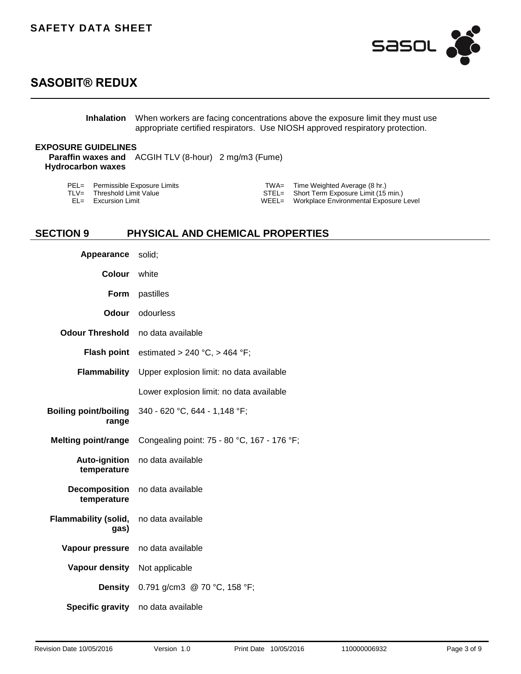

**Inhalation** When workers are facing concentrations above the exposure limit they must use appropriate certified respirators.Use NIOSH approved respiratory protection.

### **EXPOSURE GUIDELINES**

**Paraffin waxes and**  ACGIH TLV (8-hour) 2 mg/m3 (Fume) **Hydrocarbon waxes**

| PEL= Permissible Exposure Limits | $TWA =$ Time Weighted Average (8 hr.)        |
|----------------------------------|----------------------------------------------|
| TLV= Threshold Limit Value       | STEL= Short Term Exposure Limit (15 min.)    |
| $EL =$ Excursion Limit           | WEEL= Workplace Environmental Exposure Level |

## **SECTION 9 PHYSICAL AND CHEMICAL PROPERTIES**

| Appearance                            | solid;                                      |
|---------------------------------------|---------------------------------------------|
| <b>Colour</b>                         | white                                       |
| Form                                  | pastilles                                   |
| Odour                                 | odourless                                   |
| <b>Odour Threshold</b>                | no data available                           |
| <b>Flash point</b>                    | estimated > 240 °C, > 464 °F;               |
| Flammability                          | Upper explosion limit: no data available    |
|                                       | Lower explosion limit: no data available    |
| <b>Boiling point/boiling</b><br>range | 340 - 620 °C, 644 - 1,148 °F;               |
| <b>Melting point/range</b>            | Congealing point: 75 - 80 °C, 167 - 176 °F; |
| <b>Auto-ignition</b><br>temperature   | no data available                           |
| <b>Decomposition</b><br>temperature   | no data available                           |
| <b>Flammability (solid,</b><br>gas)   | no data available                           |
| Vapour pressure                       | no data available                           |
| Vapour density                        | Not applicable                              |
|                                       | <b>Density</b> 0.791 g/cm3 @ 70 °C, 158 °F; |
|                                       | Specific gravity no data available          |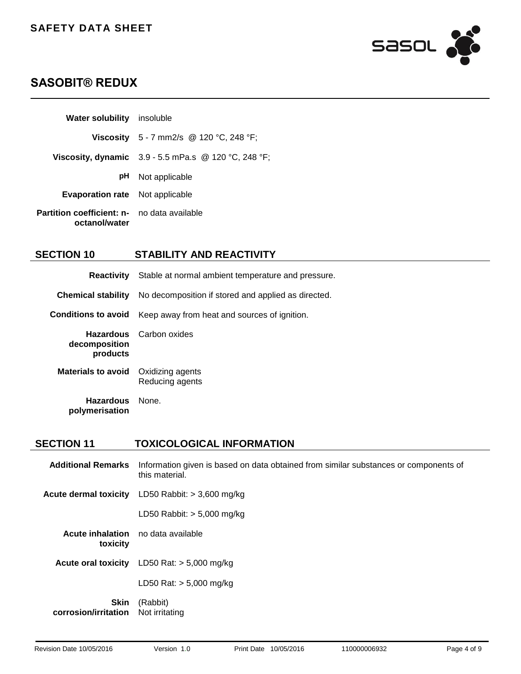

| <b>Water solubility</b> insoluble                                   |                                                               |
|---------------------------------------------------------------------|---------------------------------------------------------------|
|                                                                     | <b>Viscosity</b> 5 - 7 mm2/s @ 120 °C, 248 °F;                |
|                                                                     | <b>Viscosity, dynamic</b> $3.9 - 5.5$ mPa.s @ 120 °C, 248 °F; |
| pH                                                                  | Not applicable                                                |
| <b>Evaporation rate</b> Not applicable                              |                                                               |
| <b>Partition coefficient: n-</b> no data available<br>octanol/water |                                                               |

## **SECTION 10 STABILITY AND REACTIVITY**

|                                    | <b>Reactivity</b> Stable at normal ambient temperature and pressure. |
|------------------------------------|----------------------------------------------------------------------|
| <b>Chemical stability</b>          | No decomposition if stored and applied as directed.                  |
| <b>Conditions to avoid</b>         | Keep away from heat and sources of ignition.                         |
| decomposition<br>products          | <b>Hazardous</b> Carbon oxides                                       |
| <b>Materials to avoid</b>          | Oxidizing agents<br>Reducing agents                                  |
| <b>Hazardous</b><br>polymerisation | None.                                                                |

### **SECTION 11 TOXICOLOGICAL INFORMATION**

| <b>Additional Remarks</b>                             | Information given is based on data obtained from similar substances or components of<br>this material. |
|-------------------------------------------------------|--------------------------------------------------------------------------------------------------------|
| Acute dermal toxicity                                 | LD50 Rabbit: $> 3,600$ mg/kg                                                                           |
|                                                       | LD50 Rabbit: $> 5,000$ mg/kg                                                                           |
| <b>Acute inhalation</b> no data available<br>toxicity |                                                                                                        |
|                                                       | <b>Acute oral toxicity</b> LD50 Rat: $> 5,000$ mg/kg                                                   |
|                                                       | LD50 Rat: $> 5,000$ mg/kg                                                                              |
| <b>Skin</b><br>corrosion/irritation                   | (Rabbit)<br>Not irritating                                                                             |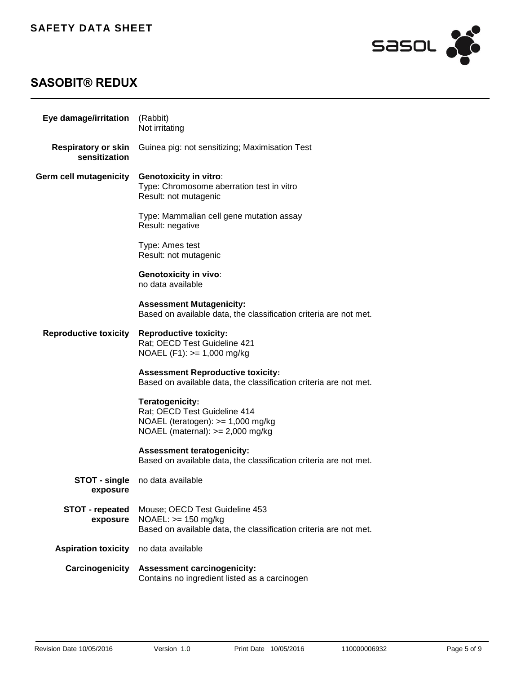

| Eye damage/irritation                       | (Rabbit)<br>Not irritating                                                                                                   |
|---------------------------------------------|------------------------------------------------------------------------------------------------------------------------------|
| <b>Respiratory or skin</b><br>sensitization | Guinea pig: not sensitizing; Maximisation Test                                                                               |
| Germ cell mutagenicity                      | <b>Genotoxicity in vitro:</b><br>Type: Chromosome aberration test in vitro<br>Result: not mutagenic                          |
|                                             | Type: Mammalian cell gene mutation assay<br>Result: negative                                                                 |
|                                             | Type: Ames test<br>Result: not mutagenic                                                                                     |
|                                             | <b>Genotoxicity in vivo:</b><br>no data available                                                                            |
|                                             | <b>Assessment Mutagenicity:</b><br>Based on available data, the classification criteria are not met.                         |
| <b>Reproductive toxicity</b>                | <b>Reproductive toxicity:</b><br>Rat; OECD Test Guideline 421<br>$NOAEL (F1): >= 1,000 mg/kg$                                |
|                                             | <b>Assessment Reproductive toxicity:</b><br>Based on available data, the classification criteria are not met.                |
|                                             | Teratogenicity:<br>Rat; OECD Test Guideline 414<br>NOAEL (teratogen): $>= 1,000$ mg/kg<br>NOAEL (maternal): $>= 2,000$ mg/kg |
|                                             | <b>Assessment teratogenicity:</b><br>Based on available data, the classification criteria are not met.                       |
| STOT - single<br>exposure                   | no data available                                                                                                            |
| <b>STOT - repeated</b><br>exposure          | Mouse; OECD Test Guideline 453<br>$NOAEL: >= 150 mg/kg$<br>Based on available data, the classification criteria are not met. |
| <b>Aspiration toxicity</b>                  | no data available                                                                                                            |
| Carcinogenicity                             | <b>Assessment carcinogenicity:</b><br>Contains no ingredient listed as a carcinogen                                          |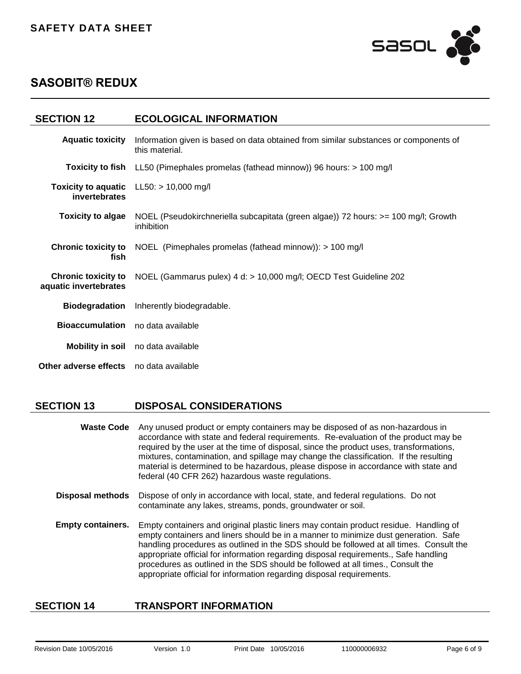

| <b>SECTION 12</b>                                   | <b>ECOLOGICAL INFORMATION</b>                                                                                                    |
|-----------------------------------------------------|----------------------------------------------------------------------------------------------------------------------------------|
| <b>Aquatic toxicity</b>                             | Information given is based on data obtained from similar substances or components of<br>this material.                           |
|                                                     | <b>Toxicity to fish</b> LL50 (Pimephales promelas (fathead minnow)) 96 hours: > 100 mg/l                                         |
| invertebrates                                       | Toxicity to aquatic $LL50: > 10,000$ mg/l                                                                                        |
|                                                     | <b>Toxicity to algae</b> NOEL (Pseudokirchneriella subcapitata (green algae)) 72 hours: >= 100 mg/l; Growth<br><i>inhibition</i> |
| <b>Chronic toxicity to</b><br>fish                  | NOEL (Pimephales promelas (fathead minnow)): > 100 mg/l                                                                          |
| <b>Chronic toxicity to</b><br>aquatic invertebrates | NOEL (Gammarus pulex) 4 d: > 10,000 mg/l; OECD Test Guideline 202                                                                |
| <b>Biodegradation</b>                               | Inherently biodegradable.                                                                                                        |
| <b>Bioaccumulation</b> no data available            |                                                                                                                                  |
|                                                     | Mobility in soil no data available                                                                                               |
| Other adverse effects no data available             |                                                                                                                                  |

### **SECTION 13 DISPOSAL CONSIDERATIONS**

| <b>Waste Code</b> Any unused product or empty containers may be disposed of as non-hazardous in |
|-------------------------------------------------------------------------------------------------|
| accordance with state and federal requirements. Re-evaluation of the product may be             |
| required by the user at the time of disposal, since the product uses, transformations,          |
| mixtures, contamination, and spillage may change the classification. If the resulting           |
| material is determined to be hazardous, please dispose in accordance with state and             |
| federal (40 CFR 262) hazardous waste regulations.                                               |

- **Disposal methods** Dispose of only in accordance with local, state, and federal regulations.Do not contaminate any lakes, streams, ponds, groundwater or soil.
- **Empty containers.** Empty containers and original plastic liners may contain product residue. Handling of empty containers and liners should be in a manner to minimize dust generation. Safe handling procedures as outlined in the SDS should be followed at all times. Consult the appropriate official for information regarding disposal requirements., Safe handling procedures as outlined in the SDS should be followed at all times., Consult the appropriate official for information regarding disposal requirements.

## **SECTION 14 TRANSPORT INFORMATION**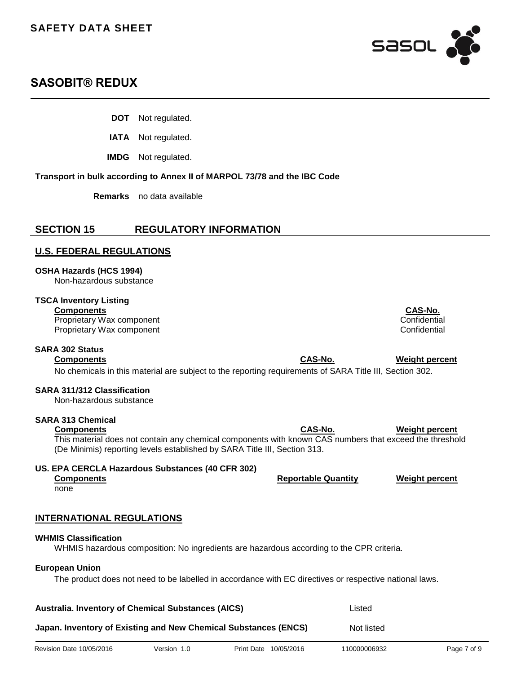

- **DOT** Not regulated.
- **IATA** Not regulated.

**IMDG** Not regulated.

#### **Transport in bulk according to Annex II of MARPOL 73/78 and the IBC Code**

**Remarks** no data available

## **SECTION 15 REGULATORY INFORMATION**

### **U.S. FEDERAL REGULATIONS**

**OSHA Hazards (HCS 1994)**

Non-hazardous substance

### **TSCA Inventory Listing**

Proprietary Wax component Proprietary Wax component **Confidential** 

### **SARA 302 Status**

No chemicals in this material are subject to the reporting requirements of SARA Title III, Section 302.

### **SARA 311/312 Classification**

Non-hazardous substance

#### **SARA 313 Chemical**

**Components CAS-No. Weight percent** This material does not contain any chemical components with known CAS numbers that exceed the threshold (De Minimis) reporting levels established by SARA Title III, Section 313.

#### **US. EPA CERCLA Hazardous Substances (40 CFR 302)**

**Components Reportable Quantity Weight percent**

none

## **INTERNATIONAL REGULATIONS**

### **WHMIS Classification**

WHMIS hazardous composition: No ingredients are hazardous according to the CPR criteria.

## **European Union**

The product does not need to be labelled in accordance with EC directives or respective national laws.

| <b>Australia. Inventory of Chemical Substances (AICS)</b>       | Listed     |
|-----------------------------------------------------------------|------------|
| Japan. Inventory of Existing and New Chemical Substances (ENCS) | Not listed |

**Components CAS-No.**

**Components CAS-No. Weight percent**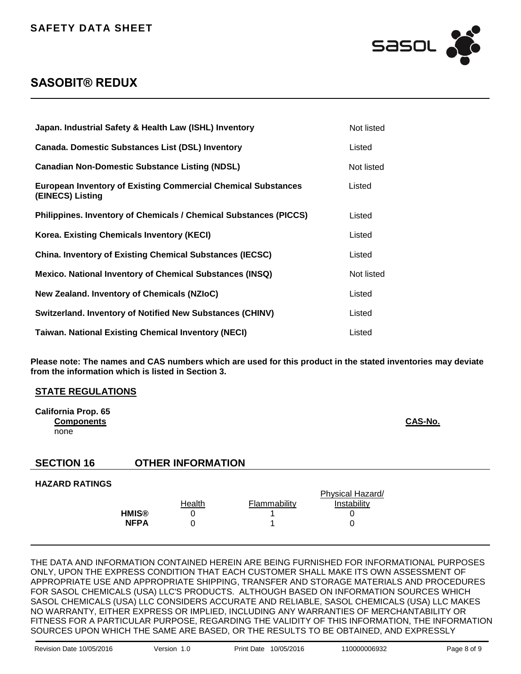

| Japan. Industrial Safety & Health Law (ISHL) Inventory                                   | Not listed |
|------------------------------------------------------------------------------------------|------------|
| <b>Canada. Domestic Substances List (DSL) Inventory</b>                                  | Listed     |
| <b>Canadian Non-Domestic Substance Listing (NDSL)</b>                                    | Not listed |
| <b>European Inventory of Existing Commercial Chemical Substances</b><br>(EINECS) Listing | Listed     |
| <b>Philippines. Inventory of Chemicals / Chemical Substances (PICCS)</b>                 | Listed     |
| Korea. Existing Chemicals Inventory (KECI)                                               | Listed     |
| <b>China. Inventory of Existing Chemical Substances (IECSC)</b>                          | Listed     |
| <b>Mexico. National Inventory of Chemical Substances (INSQ)</b>                          | Not listed |
| New Zealand. Inventory of Chemicals (NZIoC)                                              | Listed     |
| <b>Switzerland. Inventory of Notified New Substances (CHINV)</b>                         | Listed     |
| <b>Taiwan. National Existing Chemical Inventory (NECI)</b>                               | Listed     |

**Please note: The names and CAS numbers which are used for this product in the stated inventories may deviate from the information which is listed in Section 3.**

#### **STATE REGULATIONS**

| California Prop. 65 |                |
|---------------------|----------------|
| <b>Components</b>   | <b>CAS-No.</b> |
| none                |                |

## **SECTION 16 OTHER INFORMATION**

#### **HAZARD RATINGS**

|              |        | Physical Hazard/ |             |  |
|--------------|--------|------------------|-------------|--|
|              | Health | Flammability     | Instabilitv |  |
| <b>HMIS®</b> |        |                  |             |  |
| <b>NFPA</b>  |        |                  |             |  |
|              |        |                  |             |  |

THE DATA AND INFORMATION CONTAINED HEREIN ARE BEING FURNISHED FOR INFORMATIONAL PURPOSES ONLY, UPON THE EXPRESS CONDITION THAT EACH CUSTOMER SHALL MAKE ITS OWN ASSESSMENT OF APPROPRIATE USE AND APPROPRIATE SHIPPING, TRANSFER AND STORAGE MATERIALS AND PROCEDURES FOR SASOL CHEMICALS (USA) LLC'S PRODUCTS. ALTHOUGH BASED ON INFORMATION SOURCES WHICH SASOL CHEMICALS (USA) LLC CONSIDERS ACCURATE AND RELIABLE, SASOL CHEMICALS (USA) LLC MAKES NO WARRANTY, EITHER EXPRESS OR IMPLIED, INCLUDING ANY WARRANTIES OF MERCHANTABILITY OR FITNESS FOR A PARTICULAR PURPOSE, REGARDING THE VALIDITY OF THIS INFORMATION, THE INFORMATION SOURCES UPON WHICH THE SAME ARE BASED, OR THE RESULTS TO BE OBTAINED, AND EXPRESSLY